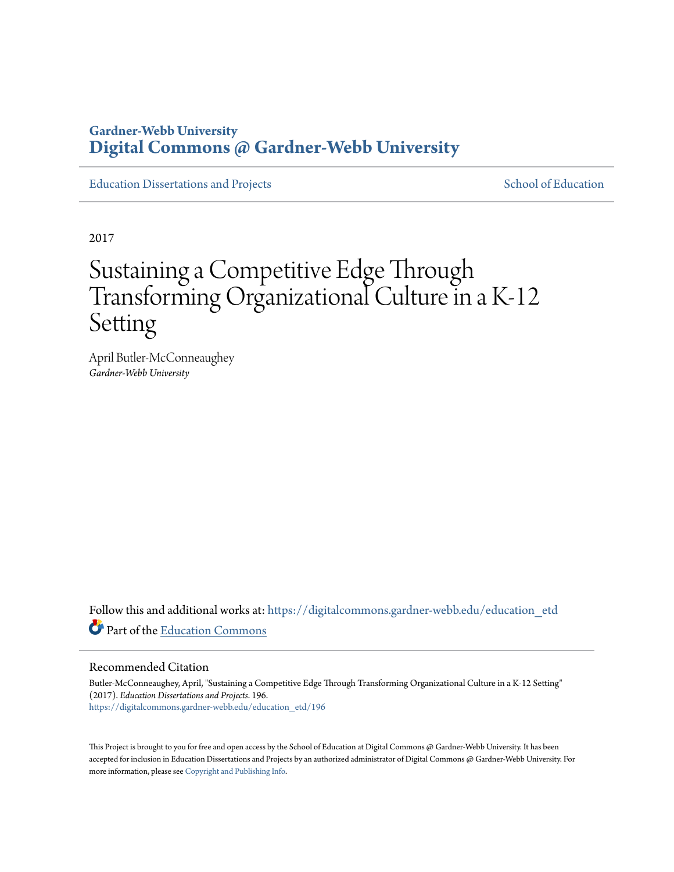## **Gardner-Webb University [Digital Commons @ Gardner-Webb University](https://digitalcommons.gardner-webb.edu?utm_source=digitalcommons.gardner-webb.edu%2Feducation_etd%2F196&utm_medium=PDF&utm_campaign=PDFCoverPages)**

[Education Dissertations and Projects](https://digitalcommons.gardner-webb.edu/education_etd?utm_source=digitalcommons.gardner-webb.edu%2Feducation_etd%2F196&utm_medium=PDF&utm_campaign=PDFCoverPages) [School of Education](https://digitalcommons.gardner-webb.edu/education?utm_source=digitalcommons.gardner-webb.edu%2Feducation_etd%2F196&utm_medium=PDF&utm_campaign=PDFCoverPages)

2017

# Sustaining a Competitive Edge Through Transforming Organizational Culture in a K-12 Setting

April Butler-McConneaughey *Gardner-Webb University*

Follow this and additional works at: [https://digitalcommons.gardner-webb.edu/education\\_etd](https://digitalcommons.gardner-webb.edu/education_etd?utm_source=digitalcommons.gardner-webb.edu%2Feducation_etd%2F196&utm_medium=PDF&utm_campaign=PDFCoverPages) Part of the [Education Commons](http://network.bepress.com/hgg/discipline/784?utm_source=digitalcommons.gardner-webb.edu%2Feducation_etd%2F196&utm_medium=PDF&utm_campaign=PDFCoverPages)

#### Recommended Citation

Butler-McConneaughey, April, "Sustaining a Competitive Edge Through Transforming Organizational Culture in a K-12 Setting" (2017). *Education Dissertations and Projects*. 196. [https://digitalcommons.gardner-webb.edu/education\\_etd/196](https://digitalcommons.gardner-webb.edu/education_etd/196?utm_source=digitalcommons.gardner-webb.edu%2Feducation_etd%2F196&utm_medium=PDF&utm_campaign=PDFCoverPages)

This Project is brought to you for free and open access by the School of Education at Digital Commons @ Gardner-Webb University. It has been accepted for inclusion in Education Dissertations and Projects by an authorized administrator of Digital Commons @ Gardner-Webb University. For more information, please see [Copyright and Publishing Info](https://digitalcommons.gardner-webb.edu/copyright_publishing.html).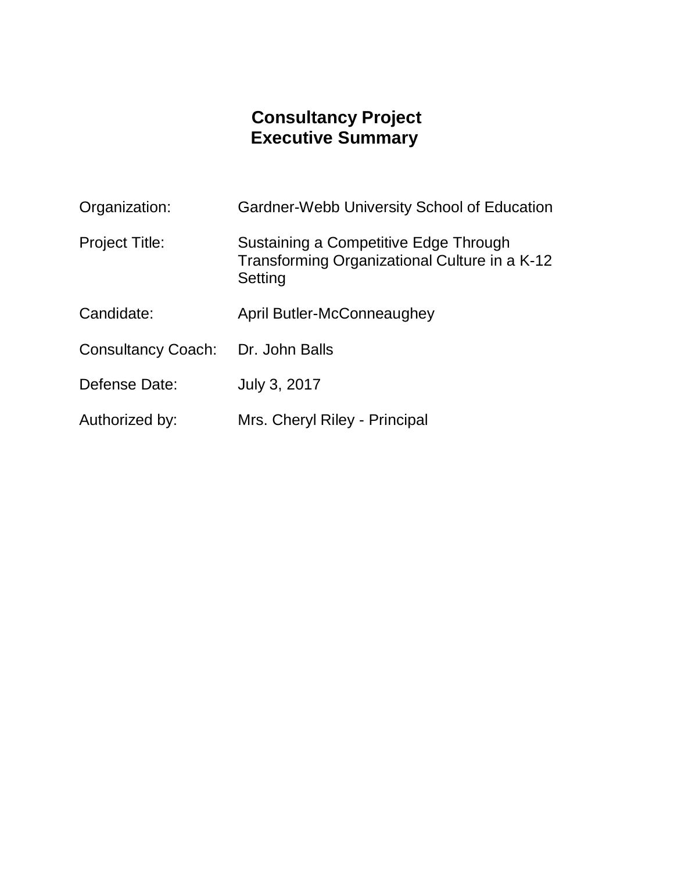## **Consultancy Project Executive Summary**

| Organization:             | <b>Gardner-Webb University School of Education</b>                                                |
|---------------------------|---------------------------------------------------------------------------------------------------|
| <b>Project Title:</b>     | Sustaining a Competitive Edge Through<br>Transforming Organizational Culture in a K-12<br>Setting |
| Candidate:                | April Butler-McConneaughey                                                                        |
| <b>Consultancy Coach:</b> | Dr. John Balls                                                                                    |
| Defense Date:             | July 3, 2017                                                                                      |
| Authorized by:            | Mrs. Cheryl Riley - Principal                                                                     |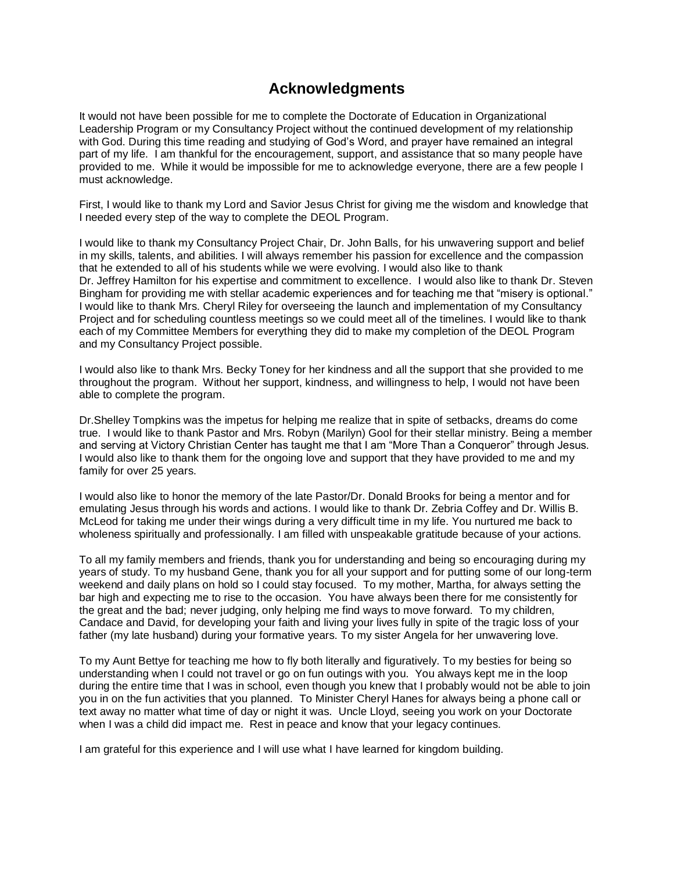## **Acknowledgments**

It would not have been possible for me to complete the Doctorate of Education in Organizational Leadership Program or my Consultancy Project without the continued development of my relationship with God. During this time reading and studying of God's Word, and prayer have remained an integral part of my life. I am thankful for the encouragement, support, and assistance that so many people have provided to me. While it would be impossible for me to acknowledge everyone, there are a few people I must acknowledge.

First, I would like to thank my Lord and Savior Jesus Christ for giving me the wisdom and knowledge that I needed every step of the way to complete the DEOL Program.

I would like to thank my Consultancy Project Chair, Dr. John Balls, for his unwavering support and belief in my skills, talents, and abilities. I will always remember his passion for excellence and the compassion that he extended to all of his students while we were evolving. I would also like to thank Dr. Jeffrey Hamilton for his expertise and commitment to excellence. I would also like to thank Dr. Steven Bingham for providing me with stellar academic experiences and for teaching me that "misery is optional." I would like to thank Mrs. Cheryl Riley for overseeing the launch and implementation of my Consultancy Project and for scheduling countless meetings so we could meet all of the timelines. I would like to thank each of my Committee Members for everything they did to make my completion of the DEOL Program and my Consultancy Project possible.

I would also like to thank Mrs. Becky Toney for her kindness and all the support that she provided to me throughout the program. Without her support, kindness, and willingness to help, I would not have been able to complete the program.

Dr.Shelley Tompkins was the impetus for helping me realize that in spite of setbacks, dreams do come true. I would like to thank Pastor and Mrs. Robyn (Marilyn) Gool for their stellar ministry. Being a member and serving at Victory Christian Center has taught me that I am "More Than a Conqueror" through Jesus. I would also like to thank them for the ongoing love and support that they have provided to me and my family for over 25 years.

I would also like to honor the memory of the late Pastor/Dr. Donald Brooks for being a mentor and for emulating Jesus through his words and actions. I would like to thank Dr. Zebria Coffey and Dr. Willis B. McLeod for taking me under their wings during a very difficult time in my life. You nurtured me back to wholeness spiritually and professionally. I am filled with unspeakable gratitude because of your actions.

To all my family members and friends, thank you for understanding and being so encouraging during my years of study. To my husband Gene, thank you for all your support and for putting some of our long-term weekend and daily plans on hold so I could stay focused. To my mother, Martha, for always setting the bar high and expecting me to rise to the occasion. You have always been there for me consistently for the great and the bad; never judging, only helping me find ways to move forward. To my children, Candace and David, for developing your faith and living your lives fully in spite of the tragic loss of your father (my late husband) during your formative years. To my sister Angela for her unwavering love.

To my Aunt Bettye for teaching me how to fly both literally and figuratively. To my besties for being so understanding when I could not travel or go on fun outings with you. You always kept me in the loop during the entire time that I was in school, even though you knew that I probably would not be able to join you in on the fun activities that you planned. To Minister Cheryl Hanes for always being a phone call or text away no matter what time of day or night it was. Uncle Lloyd, seeing you work on your Doctorate when I was a child did impact me. Rest in peace and know that your legacy continues.

I am grateful for this experience and I will use what I have learned for kingdom building.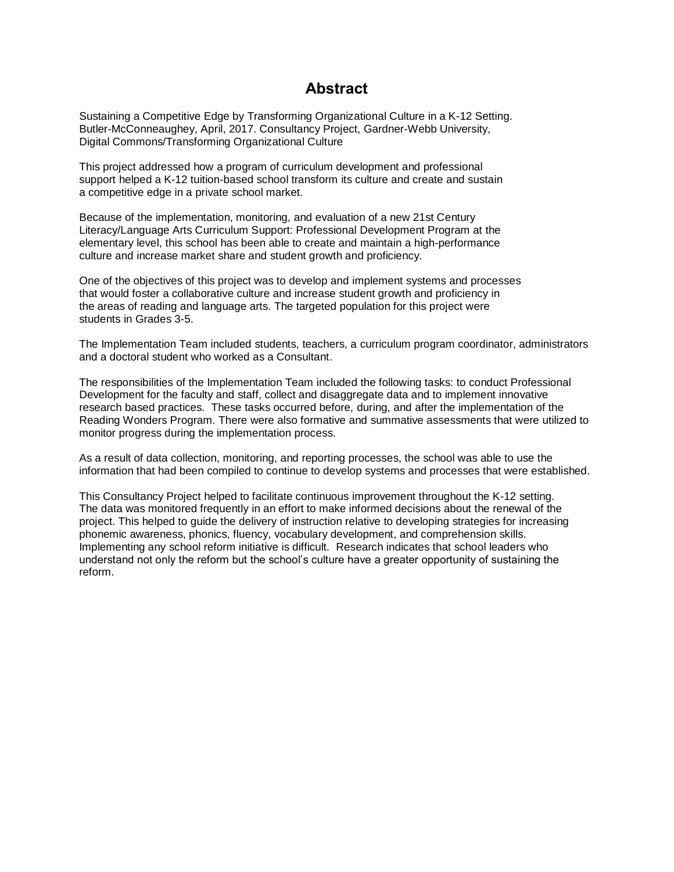### **Abstract**

Sustaining a Competitive Edge by Transforming Organizational Culture in a K-12 Setting. Butler-McConneaughey, April, 2017. Consultancy Project, Gardner-Webb University, Digital Commons/Transforming Organizational Culture

This project addressed how a program of curriculum development and professional support helped a K-12 tuition-based school transform its culture and create and sustain a competitive edge in a private school market.

Because of the implementation, monitoring, and evaluation of a new 21st Century Literacy/Language Arts Curriculum Support: Professional Development Program at the elementary level, this school has been able to create and maintain a high-performance culture and increase market share and student growth and proficiency.

One of the objectives of this project was to develop and implement systems and processes that would foster a collaborative culture and increase student growth and proficiency in the areas of reading and language arts. The targeted population for this project were students in Grades 3-5.

The Implementation Team included students, teachers, a curriculum program coordinator, administrators and a doctoral student who worked as a Consultant.

The responsibilities of the Implementation Team included the following tasks: to conduct Professional Development for the faculty and staff, collect and disaggregate data and to implement innovative research based practices. These tasks occurred before, during, and after the implementation of the Reading Wonders Program. There were also formative and summative assessments that were utilized to monitor progress during the implementation process.

As a result of data collection, monitoring, and reporting processes, the school was able to use the information that had been compiled to continue to develop systems and processes that were established.

This Consultancy Project helped to facilitate continuous improvement throughout the K-12 setting. The data was monitored frequently in an effort to make informed decisions about the renewal of the project. This helped to guide the delivery of instruction relative to developing strategies for increasing phonemic awareness, phonics, fluency, vocabulary development, and comprehension skills. Implementing any school reform initiative is difficult. Research indicates that school leaders who understand not only the reform but the school's culture have a greater opportunity of sustaining the reform.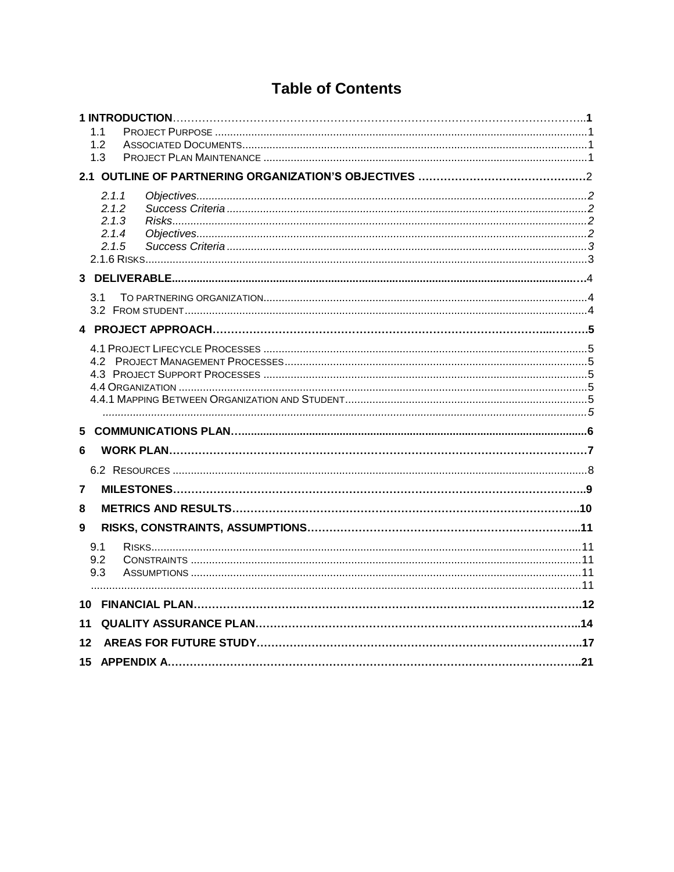## **Table of Contents**

|    | 1.1   |  |
|----|-------|--|
|    | 1.2   |  |
|    | 1.3   |  |
|    |       |  |
|    | 2.1.1 |  |
|    | 2.1.2 |  |
|    | 2.1.3 |  |
|    | 2.1.4 |  |
|    | 2.1.5 |  |
|    |       |  |
|    |       |  |
|    | 3.1   |  |
|    |       |  |
|    |       |  |
|    |       |  |
|    |       |  |
|    |       |  |
|    |       |  |
|    |       |  |
|    |       |  |
| 6  |       |  |
|    |       |  |
|    |       |  |
| 7  |       |  |
| 8  |       |  |
| 9  |       |  |
|    | 9.1   |  |
|    | 9.2   |  |
|    | 9.3   |  |
|    |       |  |
| 10 |       |  |
| 11 |       |  |
| 12 |       |  |
| 15 |       |  |
|    |       |  |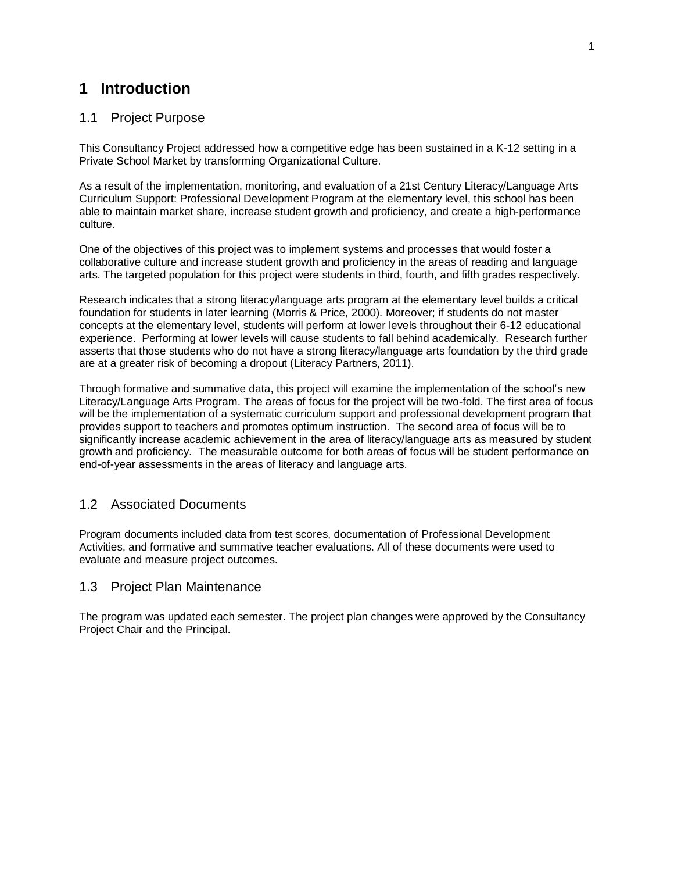### **1 Introduction**

#### <span id="page-5-0"></span>1.1 Project Purpose

This Consultancy Project addressed how a competitive edge has been sustained in a K-12 setting in a Private School Market by transforming Organizational Culture.

As a result of the implementation, monitoring, and evaluation of a 21st Century Literacy/Language Arts Curriculum Support: Professional Development Program at the elementary level, this school has been able to maintain market share, increase student growth and proficiency, and create a high-performance culture.

One of the objectives of this project was to implement systems and processes that would foster a collaborative culture and increase student growth and proficiency in the areas of reading and language arts. The targeted population for this project were students in third, fourth, and fifth grades respectively.

Research indicates that a strong literacy/language arts program at the elementary level builds a critical foundation for students in later learning (Morris & Price, 2000). Moreover; if students do not master concepts at the elementary level, students will perform at lower levels throughout their 6-12 educational experience. Performing at lower levels will cause students to fall behind academically. Research further asserts that those students who do not have a strong literacy/language arts foundation by the third grade are at a greater risk of becoming a dropout (Literacy Partners, 2011).

Through formative and summative data, this project will examine the implementation of the school's new Literacy/Language Arts Program. The areas of focus for the project will be two-fold. The first area of focus will be the implementation of a systematic curriculum support and professional development program that provides support to teachers and promotes optimum instruction. The second area of focus will be to significantly increase academic achievement in the area of literacy/language arts as measured by student growth and proficiency. The measurable outcome for both areas of focus will be student performance on end-of-year assessments in the areas of literacy and language arts.

#### <span id="page-5-1"></span>1.2 Associated Documents

Program documents included data from test scores, documentation of Professional Development Activities, and formative and summative teacher evaluations. All of these documents were used to evaluate and measure project outcomes.

#### <span id="page-5-2"></span>1.3 Project Plan Maintenance

The program was updated each semester. The project plan changes were approved by the Consultancy Project Chair and the Principal.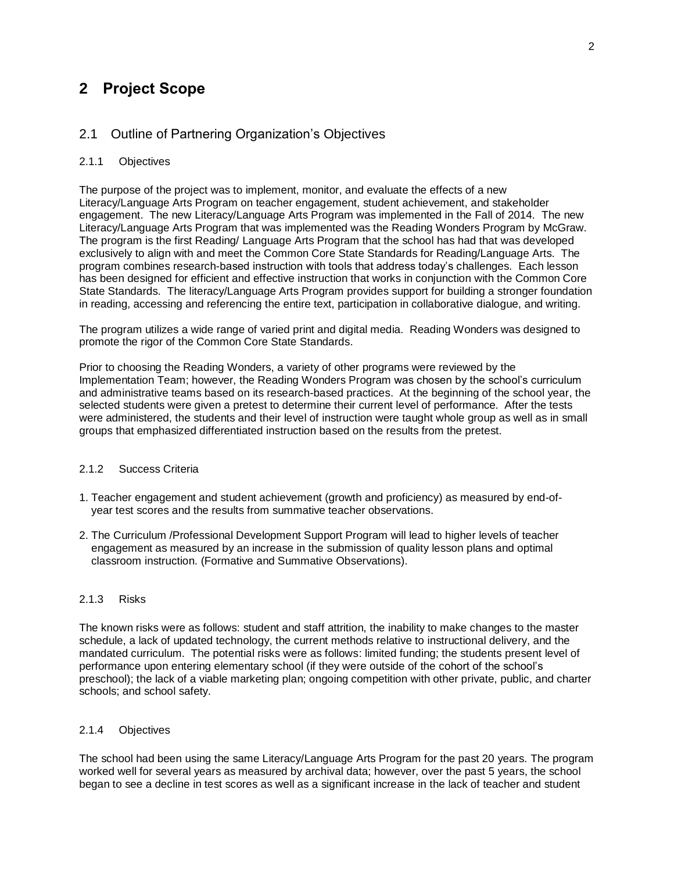## **2 Project Scope**

#### <span id="page-6-0"></span>2.1 Outline of Partnering Organization's Objectives

#### <span id="page-6-1"></span>2.1.1 Objectives

The purpose of the project was to implement, monitor, and evaluate the effects of a new Literacy/Language Arts Program on teacher engagement, student achievement, and stakeholder engagement. The new Literacy/Language Arts Program was implemented in the Fall of 2014. The new Literacy/Language Arts Program that was implemented was the Reading Wonders Program by McGraw. The program is the first Reading/ Language Arts Program that the school has had that was developed exclusively to align with and meet the Common Core State Standards for Reading/Language Arts. The program combines research-based instruction with tools that address today's challenges. Each lesson has been designed for efficient and effective instruction that works in conjunction with the Common Core State Standards. The literacy/Language Arts Program provides support for building a stronger foundation in reading, accessing and referencing the entire text, participation in collaborative dialogue, and writing.

The program utilizes a wide range of varied print and digital media. Reading Wonders was designed to promote the rigor of the Common Core State Standards.

Prior to choosing the Reading Wonders, a variety of other programs were reviewed by the Implementation Team; however, the Reading Wonders Program was chosen by the school's curriculum and administrative teams based on its research-based practices. At the beginning of the school year, the selected students were given a pretest to determine their current level of performance. After the tests were administered, the students and their level of instruction were taught whole group as well as in small groups that emphasized differentiated instruction based on the results from the pretest.

#### <span id="page-6-2"></span>2.1.2 Success Criteria

- 1. Teacher engagement and student achievement (growth and proficiency) as measured by end-of year test scores and the results from summative teacher observations.
- 2. The Curriculum /Professional Development Support Program will lead to higher levels of teacher engagement as measured by an increase in the submission of quality lesson plans and optimal classroom instruction. (Formative and Summative Observations).

#### <span id="page-6-3"></span>2.1.3 Risks

The known risks were as follows: student and staff attrition, the inability to make changes to the master schedule, a lack of updated technology, the current methods relative to instructional delivery, and the mandated curriculum. The potential risks were as follows: limited funding; the students present level of performance upon entering elementary school (if they were outside of the cohort of the school's preschool); the lack of a viable marketing plan; ongoing competition with other private, public, and charter schools; and school safety.

#### <span id="page-6-4"></span>2.1.4 Objectives

The school had been using the same Literacy/Language Arts Program for the past 20 years. The program worked well for several years as measured by archival data; however, over the past 5 years, the school began to see a decline in test scores as well as a significant increase in the lack of teacher and student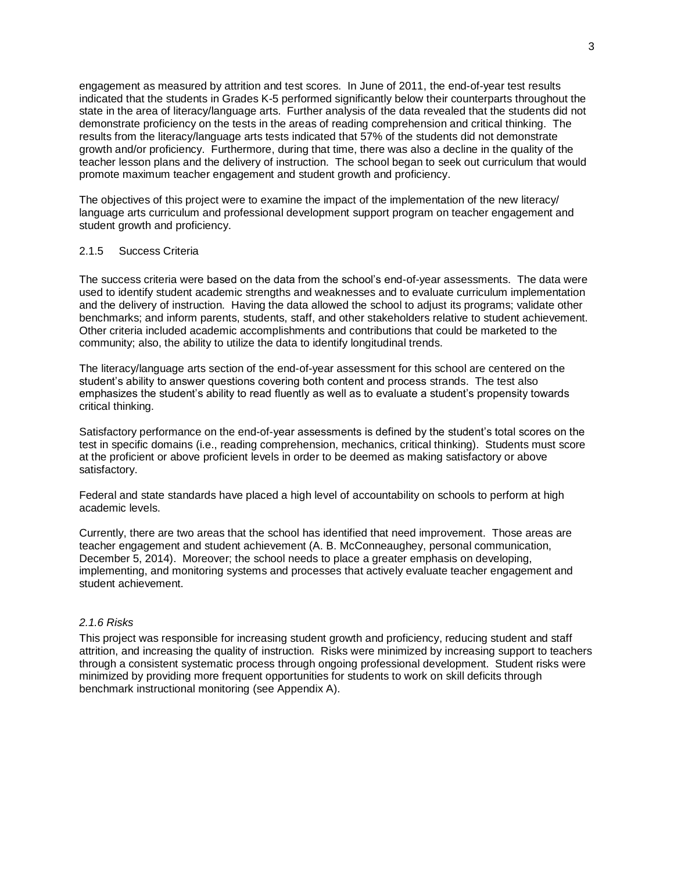engagement as measured by attrition and test scores. In June of 2011, the end-of-year test results indicated that the students in Grades K-5 performed significantly below their counterparts throughout the state in the area of literacy/language arts. Further analysis of the data revealed that the students did not demonstrate proficiency on the tests in the areas of reading comprehension and critical thinking. The results from the literacy/language arts tests indicated that 57% of the students did not demonstrate growth and/or proficiency. Furthermore, during that time, there was also a decline in the quality of the teacher lesson plans and the delivery of instruction. The school began to seek out curriculum that would promote maximum teacher engagement and student growth and proficiency.

The objectives of this project were to examine the impact of the implementation of the new literacy/ language arts curriculum and professional development support program on teacher engagement and student growth and proficiency.

#### <span id="page-7-0"></span>2.1.5 Success Criteria

The success criteria were based on the data from the school's end-of-year assessments. The data were used to identify student academic strengths and weaknesses and to evaluate curriculum implementation and the delivery of instruction. Having the data allowed the school to adjust its programs; validate other benchmarks; and inform parents, students, staff, and other stakeholders relative to student achievement. Other criteria included academic accomplishments and contributions that could be marketed to the community; also, the ability to utilize the data to identify longitudinal trends.

The literacy/language arts section of the end-of-year assessment for this school are centered on the student's ability to answer questions covering both content and process strands. The test also emphasizes the student's ability to read fluently as well as to evaluate a student's propensity towards critical thinking.

Satisfactory performance on the end-of-year assessments is defined by the student's total scores on the test in specific domains (i.e., reading comprehension, mechanics, critical thinking). Students must score at the proficient or above proficient levels in order to be deemed as making satisfactory or above satisfactory.

Federal and state standards have placed a high level of accountability on schools to perform at high academic levels.

Currently, there are two areas that the school has identified that need improvement. Those areas are teacher engagement and student achievement (A. B. McConneaughey, personal communication, December 5, 2014). Moreover; the school needs to place a greater emphasis on developing, implementing, and monitoring systems and processes that actively evaluate teacher engagement and student achievement.

#### <span id="page-7-1"></span>*2.1.6 Risks*

This project was responsible for increasing student growth and proficiency, reducing student and staff attrition, and increasing the quality of instruction. Risks were minimized by increasing support to teachers through a consistent systematic process through ongoing professional development. Student risks were minimized by providing more frequent opportunities for students to work on skill deficits through benchmark instructional monitoring (see Appendix A).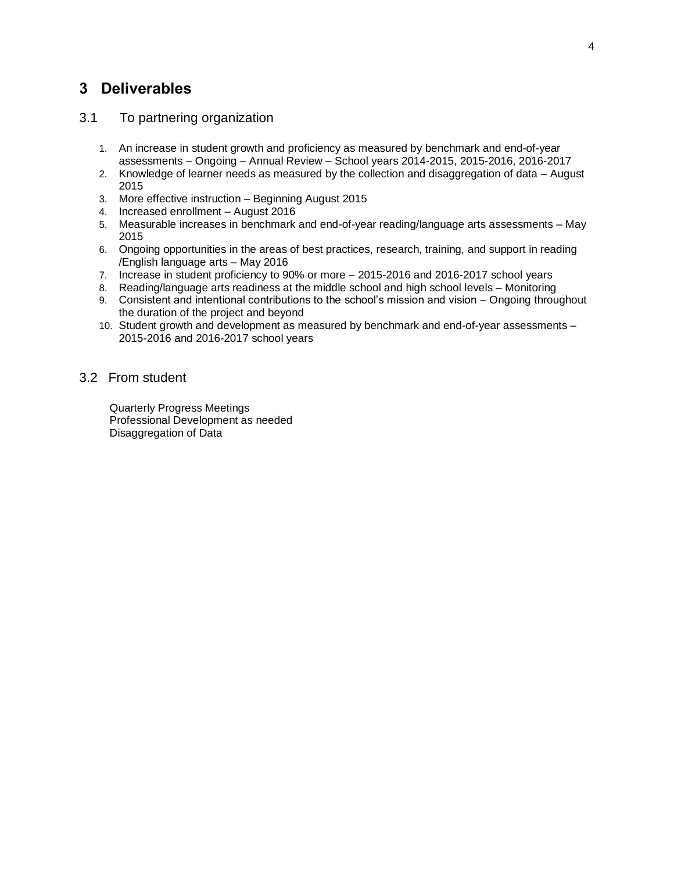## <span id="page-8-0"></span>**3 Deliverables**

#### <span id="page-8-1"></span>3.1 To partnering organization

- 1. An increase in student growth and proficiency as measured by benchmark and end-of-year assessments – Ongoing – Annual Review – School years 2014-2015, 2015-2016, 2016-2017
- 2. Knowledge of learner needs as measured by the collection and disaggregation of data August 2015
- 3. More effective instruction Beginning August 2015
- 4. Increased enrollment August 2016
- 5. Measurable increases in benchmark and end-of-year reading/language arts assessments May 2015
- 6. Ongoing opportunities in the areas of best practices, research, training, and support in reading /English language arts – May 2016
- 7. Increase in student proficiency to 90% or more 2015-2016 and 2016-2017 school years
- 8. Reading/language arts readiness at the middle school and high school levels Monitoring
- 9. Consistent and intentional contributions to the school's mission and vision Ongoing throughout the duration of the project and beyond
- 10. Student growth and development as measured by benchmark and end-of-year assessments 2015-2016 and 2016-2017 school years

#### <span id="page-8-2"></span>3.2 From student

 Quarterly Progress Meetings Professional Development as needed Disaggregation of Data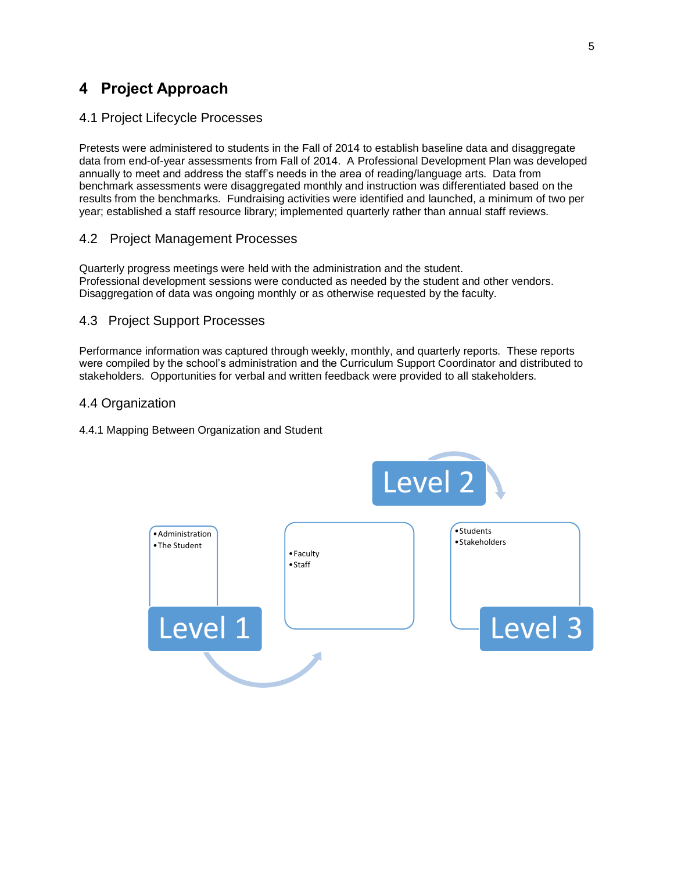## <span id="page-9-0"></span>**4 Project Approach**

#### <span id="page-9-1"></span>4.1 Project Lifecycle Processes

Pretests were administered to students in the Fall of 2014 to establish baseline data and disaggregate data from end-of-year assessments from Fall of 2014. A Professional Development Plan was developed annually to meet and address the staff's needs in the area of reading/language arts. Data from benchmark assessments were disaggregated monthly and instruction was differentiated based on the results from the benchmarks. Fundraising activities were identified and launched, a minimum of two per year; established a staff resource library; implemented quarterly rather than annual staff reviews.

#### <span id="page-9-2"></span>4.2 Project Management Processes

Quarterly progress meetings were held with the administration and the student. Professional development sessions were conducted as needed by the student and other vendors. Disaggregation of data was ongoing monthly or as otherwise requested by the faculty.

#### <span id="page-9-3"></span>4.3 Project Support Processes

Performance information was captured through weekly, monthly, and quarterly reports. These reports were compiled by the school's administration and the Curriculum Support Coordinator and distributed to stakeholders. Opportunities for verbal and written feedback were provided to all stakeholders.

#### <span id="page-9-4"></span>4.4 Organization

#### <span id="page-9-6"></span><span id="page-9-5"></span>4.4.1 Mapping Between Organization and Student

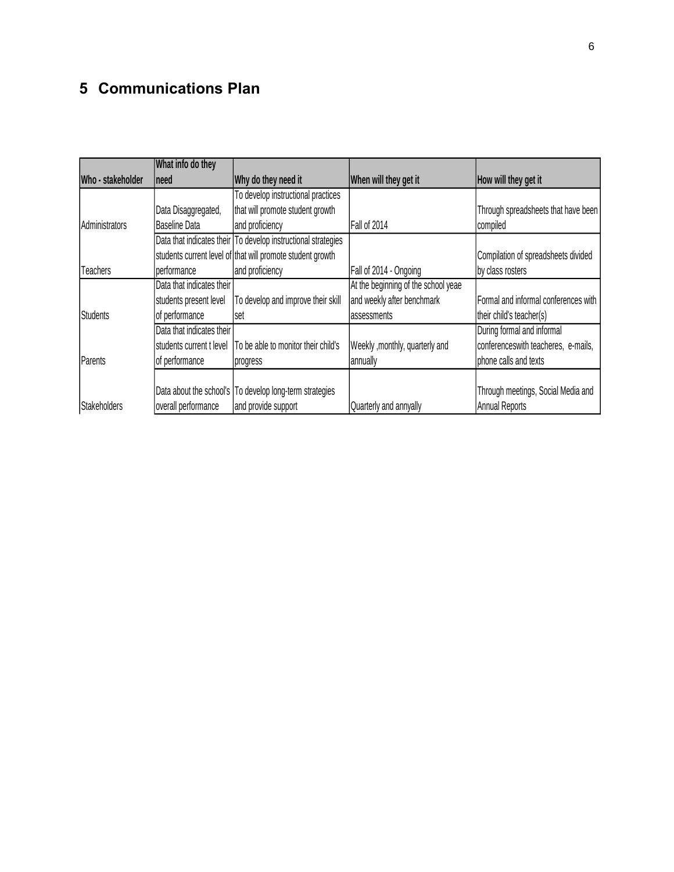## <span id="page-10-0"></span>**5 Communications Plan**

|                   | What info do they         |                                                               |                                     |                                      |
|-------------------|---------------------------|---------------------------------------------------------------|-------------------------------------|--------------------------------------|
| Who - stakeholder | Ineed                     | Why do they need it                                           | When will they get it               | How will they get it                 |
|                   |                           | To develop instructional practices                            |                                     |                                      |
|                   | Data Disaggregated,       | that will promote student growth                              |                                     | Through spreadsheets that have been  |
| Administrators    | Baseline Data             | and proficiency                                               | Fall of 2014                        | compiled                             |
|                   |                           | Data that indicates their To develop instructional strategies |                                     |                                      |
|                   |                           | students current level of that will promote student growth    |                                     | Compilation of spreadsheets divided  |
| <b>Teachers</b>   | performance               | and proficiency                                               | Fall of 2014 - Ongoing              | by class rosters                     |
|                   | Data that indicates their |                                                               | At the beginning of the school yeae |                                      |
|                   | students present level    | To develop and improve their skill                            | and weekly after benchmark          | Formal and informal conferences with |
| Students          | of performance            | set                                                           | assessments                         | their child's teacher(s)             |
|                   | Data that indicates their |                                                               |                                     | During formal and informal           |
|                   | students current t level  | To be able to monitor their child's                           | Weekly , monthly, quarterly and     | conferenceswith teacheres, e-mails,  |
| Parents           | of performance            | progress                                                      | annually                            | phone calls and texts                |
|                   |                           |                                                               |                                     |                                      |
|                   |                           | Data about the school's   To develop long-term strategies     |                                     | Through meetings, Social Media and   |
| Stakeholders      | overall performance       | and provide support                                           | Quarterly and annyally              | <b>Annual Reports</b>                |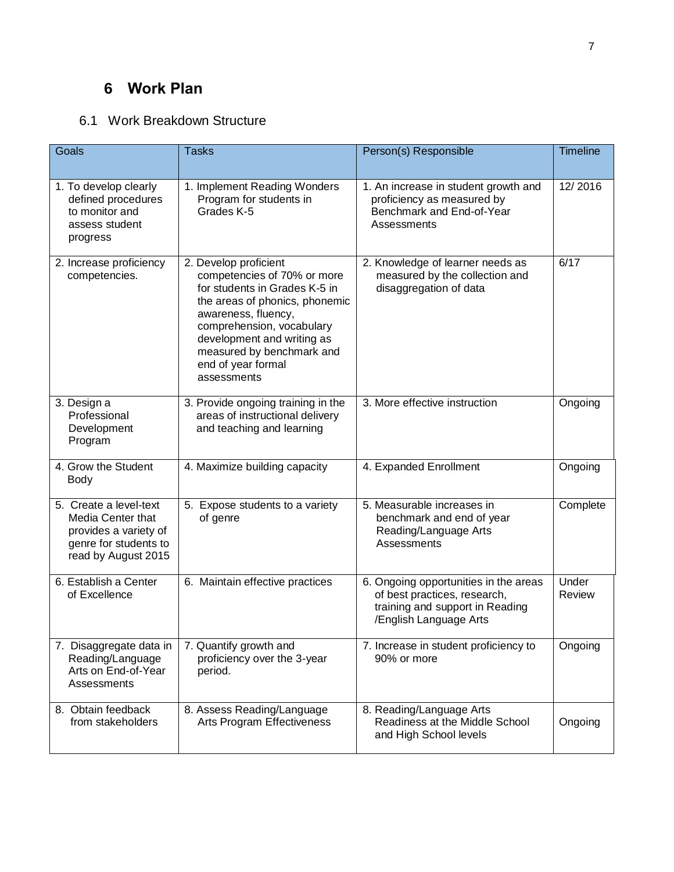## <span id="page-11-0"></span>**6 Work Plan**

## 6.1 Work Breakdown Structure

| Goals                                                                                                                | <b>Tasks</b>                                                                                                                                                                                                                                                                | Person(s) Responsible                                                                                                              | <b>Timeline</b> |
|----------------------------------------------------------------------------------------------------------------------|-----------------------------------------------------------------------------------------------------------------------------------------------------------------------------------------------------------------------------------------------------------------------------|------------------------------------------------------------------------------------------------------------------------------------|-----------------|
|                                                                                                                      |                                                                                                                                                                                                                                                                             |                                                                                                                                    |                 |
| 1. To develop clearly<br>defined procedures<br>to monitor and<br>assess student<br>progress                          | 1. Implement Reading Wonders<br>Program for students in<br>Grades K-5                                                                                                                                                                                                       | 1. An increase in student growth and<br>proficiency as measured by<br>Benchmark and End-of-Year<br>Assessments                     | 12/2016         |
| 2. Increase proficiency<br>competencies.                                                                             | 2. Develop proficient<br>competencies of 70% or more<br>for students in Grades K-5 in<br>the areas of phonics, phonemic<br>awareness, fluency,<br>comprehension, vocabulary<br>development and writing as<br>measured by benchmark and<br>end of year formal<br>assessments | 2. Knowledge of learner needs as<br>measured by the collection and<br>disaggregation of data                                       | 6/17            |
| 3. Design a<br>Professional<br>Development<br>Program                                                                | 3. Provide ongoing training in the<br>areas of instructional delivery<br>and teaching and learning                                                                                                                                                                          | 3. More effective instruction                                                                                                      | Ongoing         |
| 4. Grow the Student<br><b>Body</b>                                                                                   | 4. Maximize building capacity                                                                                                                                                                                                                                               | 4. Expanded Enrollment                                                                                                             | Ongoing         |
| 5. Create a level-text<br>Media Center that<br>provides a variety of<br>genre for students to<br>read by August 2015 | 5. Expose students to a variety<br>of genre                                                                                                                                                                                                                                 | 5. Measurable increases in<br>benchmark and end of year<br>Reading/Language Arts<br>Assessments                                    | Complete        |
| 6. Establish a Center<br>of Excellence                                                                               | 6. Maintain effective practices                                                                                                                                                                                                                                             | 6. Ongoing opportunities in the areas<br>of best practices, research,<br>training and support in Reading<br>/English Language Arts | Under<br>Review |
| 7. Disaggregate data in<br>Reading/Language<br>Arts on End-of-Year<br>Assessments                                    | 7. Quantify growth and<br>proficiency over the 3-year<br>period.                                                                                                                                                                                                            | 7. Increase in student proficiency to<br>90% or more                                                                               | Ongoing         |
| 8. Obtain feedback<br>from stakeholders                                                                              | 8. Assess Reading/Language<br>Arts Program Effectiveness                                                                                                                                                                                                                    | 8. Reading/Language Arts<br>Readiness at the Middle School<br>and High School levels                                               | Ongoing         |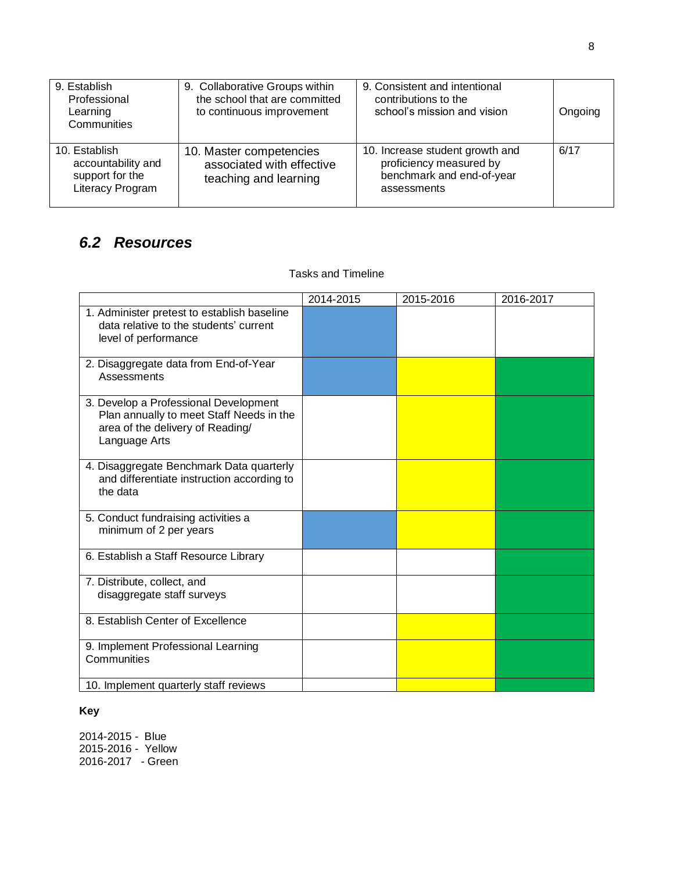| 9. Establish<br>Professional<br>Learning<br>Communities                    | 9. Collaborative Groups within<br>the school that are committed<br>to continuous improvement | 9. Consistent and intentional<br>contributions to the<br>school's mission and vision                   | Ongoing |
|----------------------------------------------------------------------------|----------------------------------------------------------------------------------------------|--------------------------------------------------------------------------------------------------------|---------|
| 10. Establish<br>accountability and<br>support for the<br>Literacy Program | 10. Master competencies<br>associated with effective<br>teaching and learning                | 10. Increase student growth and<br>proficiency measured by<br>benchmark and end-of-year<br>assessments | 6/17    |

## <span id="page-12-0"></span>*6.2 Resources*

#### Tasks and Timeline

|                                                                                                                                        | 2014-2015 | 2015-2016 | 2016-2017 |
|----------------------------------------------------------------------------------------------------------------------------------------|-----------|-----------|-----------|
| 1. Administer pretest to establish baseline<br>data relative to the students' current<br>level of performance                          |           |           |           |
| 2. Disaggregate data from End-of-Year<br>Assessments                                                                                   |           |           |           |
| 3. Develop a Professional Development<br>Plan annually to meet Staff Needs in the<br>area of the delivery of Reading/<br>Language Arts |           |           |           |
| 4. Disaggregate Benchmark Data quarterly<br>and differentiate instruction according to<br>the data                                     |           |           |           |
| 5. Conduct fundraising activities a<br>minimum of 2 per years                                                                          |           |           |           |
| 6. Establish a Staff Resource Library                                                                                                  |           |           |           |
| 7. Distribute, collect, and<br>disaggregate staff surveys                                                                              |           |           |           |
| 8. Establish Center of Excellence                                                                                                      |           |           |           |
| 9. Implement Professional Learning<br>Communities                                                                                      |           |           |           |
| 10. Implement quarterly staff reviews                                                                                                  |           |           |           |

### **Key**

2014-2015 - Blue 2015-2016 - Yellow 2016-2017 - Green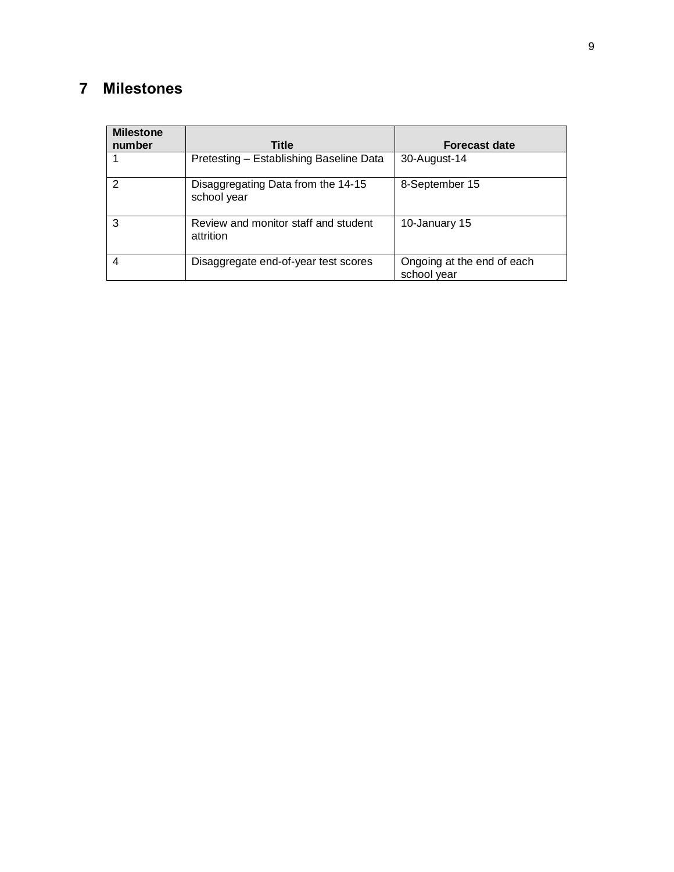## <span id="page-13-0"></span>**7 Milestones**

| <b>Milestone</b><br>number | <b>Title</b>                                      | <b>Forecast date</b>                      |
|----------------------------|---------------------------------------------------|-------------------------------------------|
|                            | Pretesting - Establishing Baseline Data           | 30-August-14                              |
| 2                          | Disaggregating Data from the 14-15<br>school year | 8-September 15                            |
| 3                          | Review and monitor staff and student<br>attrition | 10-January 15                             |
| 4                          | Disaggregate end-of-year test scores              | Ongoing at the end of each<br>school year |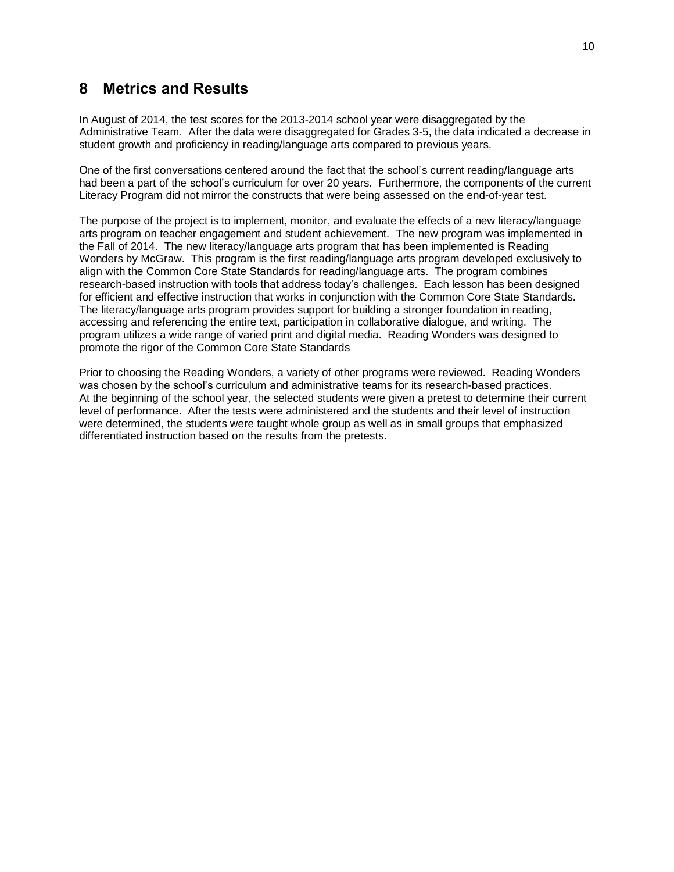### <span id="page-14-0"></span>**8 Metrics and Results**

In August of 2014, the test scores for the 2013-2014 school year were disaggregated by the Administrative Team. After the data were disaggregated for Grades 3-5, the data indicated a decrease in student growth and proficiency in reading/language arts compared to previous years.

One of the first conversations centered around the fact that the school's current reading/language arts had been a part of the school's curriculum for over 20 years. Furthermore, the components of the current Literacy Program did not mirror the constructs that were being assessed on the end-of-year test.

The purpose of the project is to implement, monitor, and evaluate the effects of a new literacy/language arts program on teacher engagement and student achievement. The new program was implemented in the Fall of 2014. The new literacy/language arts program that has been implemented is Reading Wonders by McGraw. This program is the first reading/language arts program developed exclusively to align with the Common Core State Standards for reading/language arts. The program combines research-based instruction with tools that address today's challenges. Each lesson has been designed for efficient and effective instruction that works in conjunction with the Common Core State Standards. The literacy/language arts program provides support for building a stronger foundation in reading, accessing and referencing the entire text, participation in collaborative dialogue, and writing. The program utilizes a wide range of varied print and digital media. Reading Wonders was designed to promote the rigor of the Common Core State Standards

Prior to choosing the Reading Wonders, a variety of other programs were reviewed. Reading Wonders was chosen by the school's curriculum and administrative teams for its research-based practices. At the beginning of the school year, the selected students were given a pretest to determine their current level of performance. After the tests were administered and the students and their level of instruction were determined, the students were taught whole group as well as in small groups that emphasized differentiated instruction based on the results from the pretests.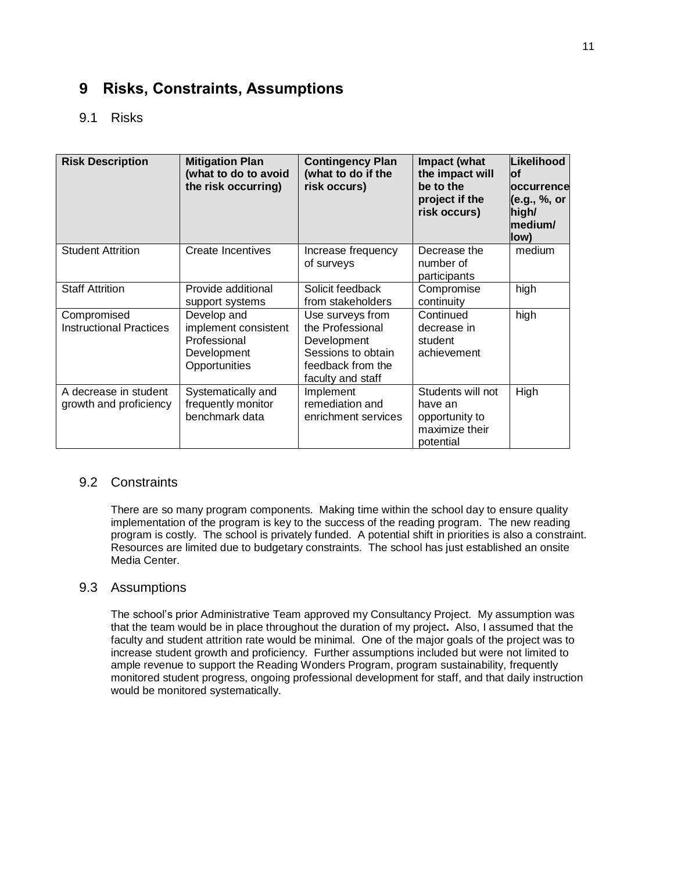## <span id="page-15-0"></span>**9 Risks, Constraints, Assumptions**

### <span id="page-15-1"></span>9.1 Risks

| <b>Risk Description</b>                         | <b>Mitigation Plan</b><br>(what to do to avoid<br>the risk occurring)               | <b>Contingency Plan</b><br>(what to do if the<br>risk occurs)                                                       | Impact (what<br>the impact will<br>be to the<br>project if the<br>risk occurs) | Likelihood<br>lof<br>occurrence<br>(e.g., %, or<br>high/<br>medium/<br>low) |
|-------------------------------------------------|-------------------------------------------------------------------------------------|---------------------------------------------------------------------------------------------------------------------|--------------------------------------------------------------------------------|-----------------------------------------------------------------------------|
| <b>Student Attrition</b>                        | Create Incentives                                                                   | Increase frequency<br>of surveys                                                                                    | Decrease the<br>number of<br>participants                                      | medium                                                                      |
| <b>Staff Attrition</b>                          | Provide additional<br>support systems                                               | Solicit feedback<br>from stakeholders                                                                               | Compromise<br>continuity                                                       | high                                                                        |
| Compromised<br><b>Instructional Practices</b>   | Develop and<br>implement consistent<br>Professional<br>Development<br>Opportunities | Use surveys from<br>the Professional<br>Development<br>Sessions to obtain<br>feedback from the<br>faculty and staff | Continued<br>decrease in<br>student<br>achievement                             | high                                                                        |
| A decrease in student<br>growth and proficiency | Systematically and<br>frequently monitor<br>benchmark data                          | Implement<br>remediation and<br>enrichment services                                                                 | Students will not<br>have an<br>opportunity to<br>maximize their<br>potential  | High                                                                        |

#### <span id="page-15-2"></span>9.2 Constraints

There are so many program components. Making time within the school day to ensure quality implementation of the program is key to the success of the reading program. The new reading program is costly. The school is privately funded. A potential shift in priorities is also a constraint. Resources are limited due to budgetary constraints. The school has just established an onsite Media Center.

#### <span id="page-15-4"></span><span id="page-15-3"></span>9.3 Assumptions

The school's prior Administrative Team approved my Consultancy Project. My assumption was that the team would be in place throughout the duration of my project**.** Also, I assumed that the faculty and student attrition rate would be minimal. One of the major goals of the project was to increase student growth and proficiency. Further assumptions included but were not limited to ample revenue to support the Reading Wonders Program, program sustainability, frequently monitored student progress, ongoing professional development for staff, and that daily instruction would be monitored systematically.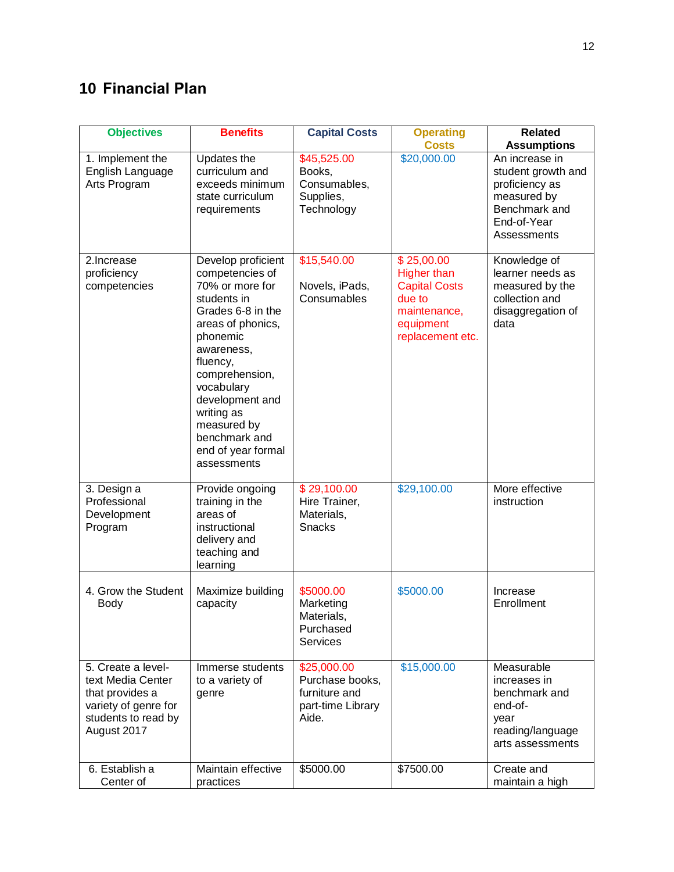## <span id="page-16-0"></span>**10 Financial Plan**

| <b>Objectives</b>                                                                                                        | <b>Benefits</b>                                                                                                                                                                                                                                                                               | <b>Capital Costs</b>                                                          | <b>Operating</b><br><b>Costs</b>                                                                                    | <b>Related</b><br><b>Assumptions</b>                                                                                 |
|--------------------------------------------------------------------------------------------------------------------------|-----------------------------------------------------------------------------------------------------------------------------------------------------------------------------------------------------------------------------------------------------------------------------------------------|-------------------------------------------------------------------------------|---------------------------------------------------------------------------------------------------------------------|----------------------------------------------------------------------------------------------------------------------|
| 1. Implement the<br>English Language<br>Arts Program                                                                     | Updates the<br>curriculum and<br>exceeds minimum<br>state curriculum<br>requirements                                                                                                                                                                                                          | \$45,525.00<br>Books,<br>Consumables,<br>Supplies,<br>Technology              | \$20,000.00                                                                                                         | An increase in<br>student growth and<br>proficiency as<br>measured by<br>Benchmark and<br>End-of-Year<br>Assessments |
| 2.Increase<br>proficiency<br>competencies                                                                                | Develop proficient<br>competencies of<br>70% or more for<br>students in<br>Grades 6-8 in the<br>areas of phonics,<br>phonemic<br>awareness,<br>fluency,<br>comprehension,<br>vocabulary<br>development and<br>writing as<br>measured by<br>benchmark and<br>end of year formal<br>assessments | \$15,540.00<br>Novels, iPads,<br>Consumables                                  | \$25,00.00<br><b>Higher than</b><br><b>Capital Costs</b><br>due to<br>maintenance,<br>equipment<br>replacement etc. | Knowledge of<br>learner needs as<br>measured by the<br>collection and<br>disaggregation of<br>data                   |
| 3. Design a<br>Professional<br>Development<br>Program                                                                    | Provide ongoing<br>training in the<br>areas of<br>instructional<br>delivery and<br>teaching and<br>learning                                                                                                                                                                                   | \$29,100.00<br>Hire Trainer,<br>Materials,<br>Snacks                          | \$29,100.00                                                                                                         | More effective<br>instruction                                                                                        |
| 4. Grow the Student<br><b>Body</b>                                                                                       | Maximize building<br>capacity                                                                                                                                                                                                                                                                 | \$5000.00<br>Marketing<br>Materials,<br>Purchased<br><b>Services</b>          | \$5000.00                                                                                                           | Increase<br>Enrollment                                                                                               |
| 5. Create a level-<br>text Media Center<br>that provides a<br>variety of genre for<br>students to read by<br>August 2017 | Immerse students<br>to a variety of<br>genre                                                                                                                                                                                                                                                  | \$25,000.00<br>Purchase books,<br>furniture and<br>part-time Library<br>Aide. | \$15,000.00                                                                                                         | Measurable<br>increases in<br>benchmark and<br>end-of-<br>year<br>reading/language<br>arts assessments               |
| 6. Establish a<br>Center of                                                                                              | Maintain effective<br>practices                                                                                                                                                                                                                                                               | \$5000.00                                                                     | \$7500.00                                                                                                           | Create and<br>maintain a high                                                                                        |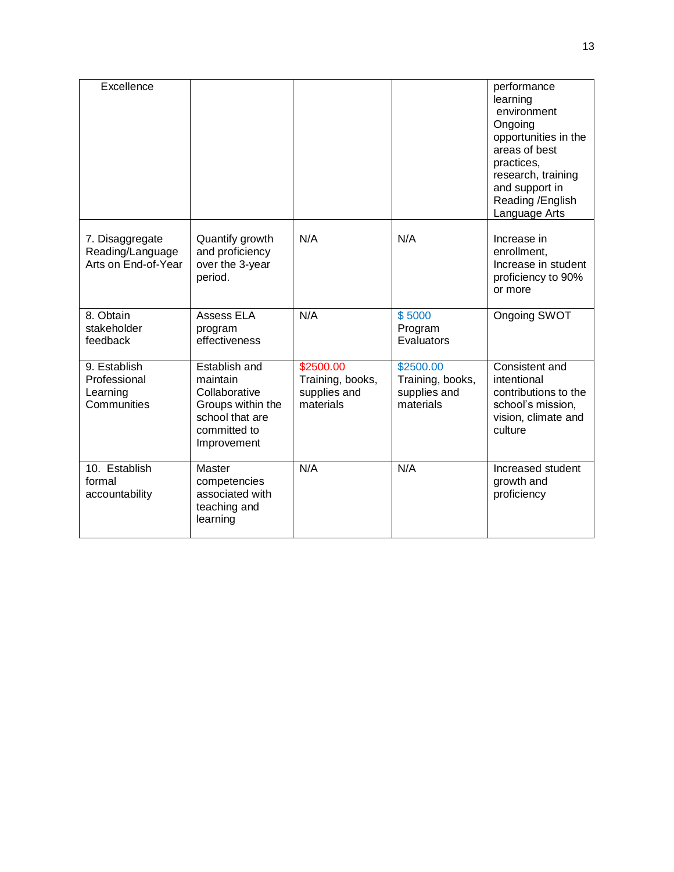| Excellence                                                 |                                                                                                                   |                                                            |                                                            | performance<br>learning<br>environment<br>Ongoing<br>opportunities in the<br>areas of best<br>practices,<br>research, training<br>and support in<br>Reading /English<br>Language Arts |
|------------------------------------------------------------|-------------------------------------------------------------------------------------------------------------------|------------------------------------------------------------|------------------------------------------------------------|---------------------------------------------------------------------------------------------------------------------------------------------------------------------------------------|
| 7. Disaggregate<br>Reading/Language<br>Arts on End-of-Year | Quantify growth<br>and proficiency<br>over the 3-year<br>period.                                                  | N/A                                                        | N/A                                                        | Increase in<br>enrollment,<br>Increase in student<br>proficiency to 90%<br>or more                                                                                                    |
| 8. Obtain<br>stakeholder<br>feedback                       | <b>Assess ELA</b><br>program<br>effectiveness                                                                     | N/A                                                        | \$5000<br>Program<br>Evaluators                            | Ongoing SWOT                                                                                                                                                                          |
| 9. Establish<br>Professional<br>Learning<br>Communities    | Establish and<br>maintain<br>Collaborative<br>Groups within the<br>school that are<br>committed to<br>Improvement | \$2500.00<br>Training, books,<br>supplies and<br>materials | \$2500.00<br>Training, books,<br>supplies and<br>materials | Consistent and<br>intentional<br>contributions to the<br>school's mission,<br>vision, climate and<br>culture                                                                          |
| 10. Establish<br>formal<br>accountability                  | <b>Master</b><br>competencies<br>associated with<br>teaching and<br>learning                                      | N/A                                                        | N/A                                                        | Increased student<br>growth and<br>proficiency                                                                                                                                        |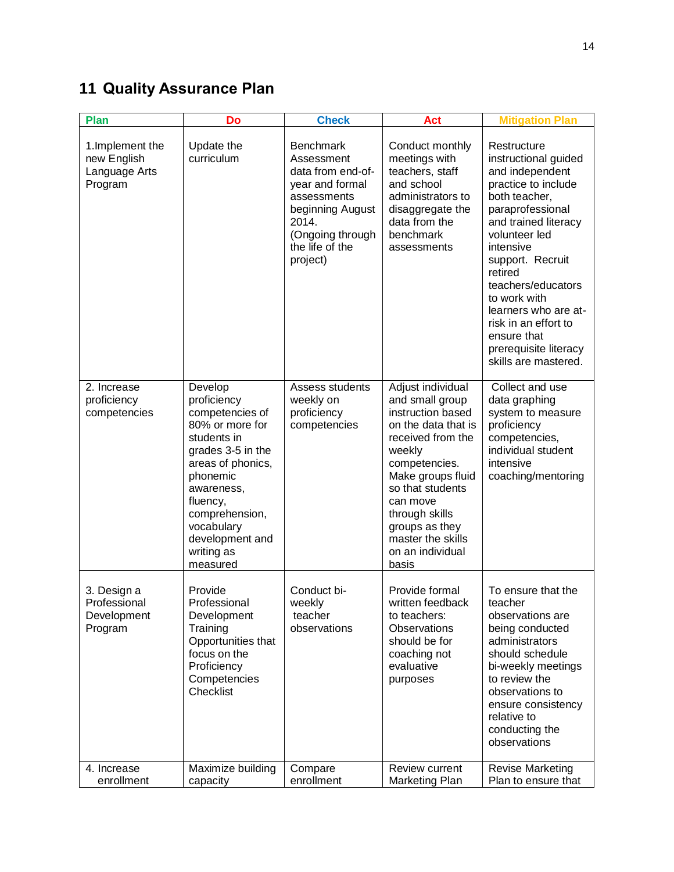## <span id="page-18-0"></span>**11 Quality Assurance Plan**

| <b>Plan</b>                                                 | Do                                                                                                                                                                                                                                       | <b>Check</b>                                                                                                                                                          | <b>Act</b>                                                                                                                                                                                                                                                                  | <b>Mitigation Plan</b>                                                                                                                                                                                                                                                                                                                                        |
|-------------------------------------------------------------|------------------------------------------------------------------------------------------------------------------------------------------------------------------------------------------------------------------------------------------|-----------------------------------------------------------------------------------------------------------------------------------------------------------------------|-----------------------------------------------------------------------------------------------------------------------------------------------------------------------------------------------------------------------------------------------------------------------------|---------------------------------------------------------------------------------------------------------------------------------------------------------------------------------------------------------------------------------------------------------------------------------------------------------------------------------------------------------------|
| 1. Implement the<br>new English<br>Language Arts<br>Program | Update the<br>curriculum                                                                                                                                                                                                                 | <b>Benchmark</b><br>Assessment<br>data from end-of-<br>year and formal<br>assessments<br>beginning August<br>2014.<br>(Ongoing through<br>the life of the<br>project) | Conduct monthly<br>meetings with<br>teachers, staff<br>and school<br>administrators to<br>disaggregate the<br>data from the<br>benchmark<br>assessments                                                                                                                     | Restructure<br>instructional guided<br>and independent<br>practice to include<br>both teacher,<br>paraprofessional<br>and trained literacy<br>volunteer led<br>intensive<br>support. Recruit<br>retired<br>teachers/educators<br>to work with<br>learners who are at-<br>risk in an effort to<br>ensure that<br>prerequisite literacy<br>skills are mastered. |
| 2. Increase<br>proficiency<br>competencies                  | Develop<br>proficiency<br>competencies of<br>80% or more for<br>students in<br>grades 3-5 in the<br>areas of phonics,<br>phonemic<br>awareness,<br>fluency,<br>comprehension,<br>vocabulary<br>development and<br>writing as<br>measured | Assess students<br>weekly on<br>proficiency<br>competencies                                                                                                           | Adjust individual<br>and small group<br>instruction based<br>on the data that is<br>received from the<br>weekly<br>competencies.<br>Make groups fluid<br>so that students<br>can move<br>through skills<br>groups as they<br>master the skills<br>on an individual<br>basis | Collect and use<br>data graphing<br>system to measure<br>proficiency<br>competencies,<br>individual student<br>intensive<br>coaching/mentoring                                                                                                                                                                                                                |
| 3. Design a<br>Professional<br>Development<br>Program       | Provide<br>Professional<br>Development<br>Training<br>Opportunities that<br>focus on the<br>Proficiency<br>Competencies<br>Checklist                                                                                                     | Conduct bi-<br>weekly<br>teacher<br>observations                                                                                                                      | Provide formal<br>written feedback<br>to teachers:<br>Observations<br>should be for<br>coaching not<br>evaluative<br>purposes                                                                                                                                               | To ensure that the<br>teacher<br>observations are<br>being conducted<br>administrators<br>should schedule<br>bi-weekly meetings<br>to review the<br>observations to<br>ensure consistency<br>relative to<br>conducting the<br>observations                                                                                                                    |
| 4. Increase<br>enrollment                                   | Maximize building<br>capacity                                                                                                                                                                                                            | Compare<br>enrollment                                                                                                                                                 | Review current<br>Marketing Plan                                                                                                                                                                                                                                            | <b>Revise Marketing</b><br>Plan to ensure that                                                                                                                                                                                                                                                                                                                |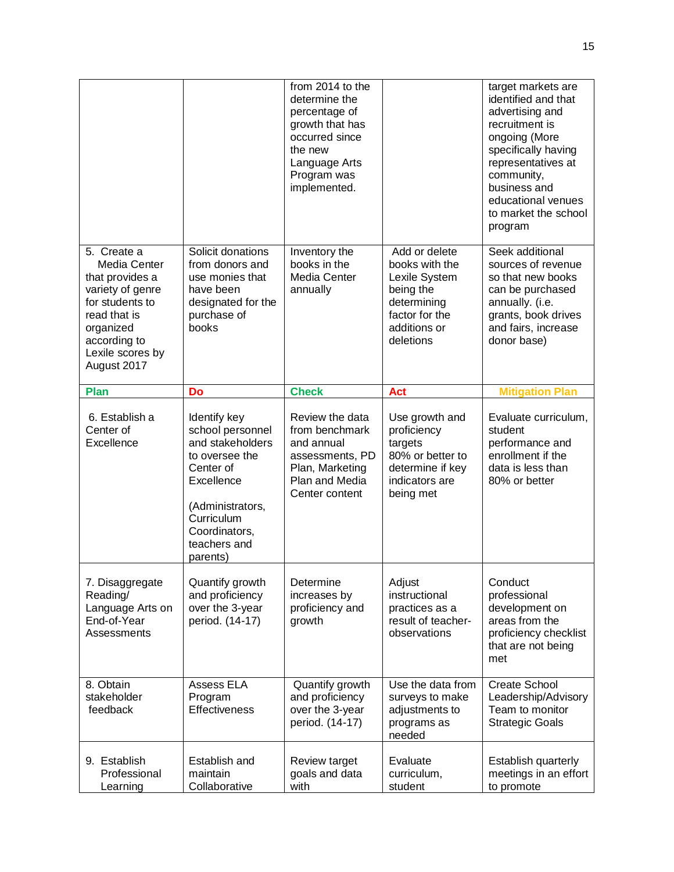|                                                                                                                                                                       |                                                                                                                                                                                  | from 2014 to the<br>determine the<br>percentage of<br>growth that has<br>occurred since<br>the new<br>Language Arts<br>Program was<br>implemented. |                                                                                                                             | target markets are<br>identified and that<br>advertising and<br>recruitment is<br>ongoing (More<br>specifically having<br>representatives at<br>community,<br>business and<br>educational venues<br>to market the school<br>program |
|-----------------------------------------------------------------------------------------------------------------------------------------------------------------------|----------------------------------------------------------------------------------------------------------------------------------------------------------------------------------|----------------------------------------------------------------------------------------------------------------------------------------------------|-----------------------------------------------------------------------------------------------------------------------------|-------------------------------------------------------------------------------------------------------------------------------------------------------------------------------------------------------------------------------------|
| 5. Create a<br>Media Center<br>that provides a<br>variety of genre<br>for students to<br>read that is<br>organized<br>according to<br>Lexile scores by<br>August 2017 | Solicit donations<br>from donors and<br>use monies that<br>have been<br>designated for the<br>purchase of<br>books                                                               | Inventory the<br>books in the<br>Media Center<br>annually                                                                                          | Add or delete<br>books with the<br>Lexile System<br>being the<br>determining<br>factor for the<br>additions or<br>deletions | Seek additional<br>sources of revenue<br>so that new books<br>can be purchased<br>annually. (i.e.<br>grants, book drives<br>and fairs, increase<br>donor base)                                                                      |
| <b>Plan</b>                                                                                                                                                           | Do                                                                                                                                                                               | <b>Check</b>                                                                                                                                       | <b>Act</b>                                                                                                                  | <b>Mitigation Plan</b>                                                                                                                                                                                                              |
| 6. Establish a<br>Center of<br>Excellence                                                                                                                             | Identify key<br>school personnel<br>and stakeholders<br>to oversee the<br>Center of<br>Excellence<br>(Administrators,<br>Curriculum<br>Coordinators,<br>teachers and<br>parents) | Review the data<br>from benchmark<br>and annual<br>assessments, PD<br>Plan, Marketing<br>Plan and Media<br>Center content                          | Use growth and<br>proficiency<br>targets<br>80% or better to<br>determine if key<br>indicators are<br>being met             | Evaluate curriculum,<br>student<br>performance and<br>enrollment if the<br>data is less than<br>80% or better                                                                                                                       |
| 7. Disaggregate<br>Reading/<br>Language Arts on<br>End-of-Year<br>Assessments                                                                                         | Quantify growth<br>and proficiency<br>over the 3-year<br>period. (14-17)                                                                                                         | Determine<br>increases by<br>proficiency and<br>growth                                                                                             | Adjust<br>instructional<br>practices as a<br>result of teacher-<br>observations                                             | Conduct<br>professional<br>development on<br>areas from the<br>proficiency checklist<br>that are not being<br>met                                                                                                                   |
| 8. Obtain<br>stakeholder<br>feedback                                                                                                                                  | Assess ELA<br>Program<br><b>Effectiveness</b>                                                                                                                                    | Quantify growth<br>and proficiency<br>over the 3-year<br>period. (14-17)                                                                           | Use the data from<br>surveys to make<br>adjustments to<br>programs as<br>needed                                             | <b>Create School</b><br>Leadership/Advisory<br>Team to monitor<br><b>Strategic Goals</b>                                                                                                                                            |
| 9. Establish<br>Professional<br>Learning                                                                                                                              | Establish and<br>maintain<br>Collaborative                                                                                                                                       | Review target<br>goals and data<br>with                                                                                                            | Evaluate<br>curriculum,<br>student                                                                                          | Establish quarterly<br>meetings in an effort<br>to promote                                                                                                                                                                          |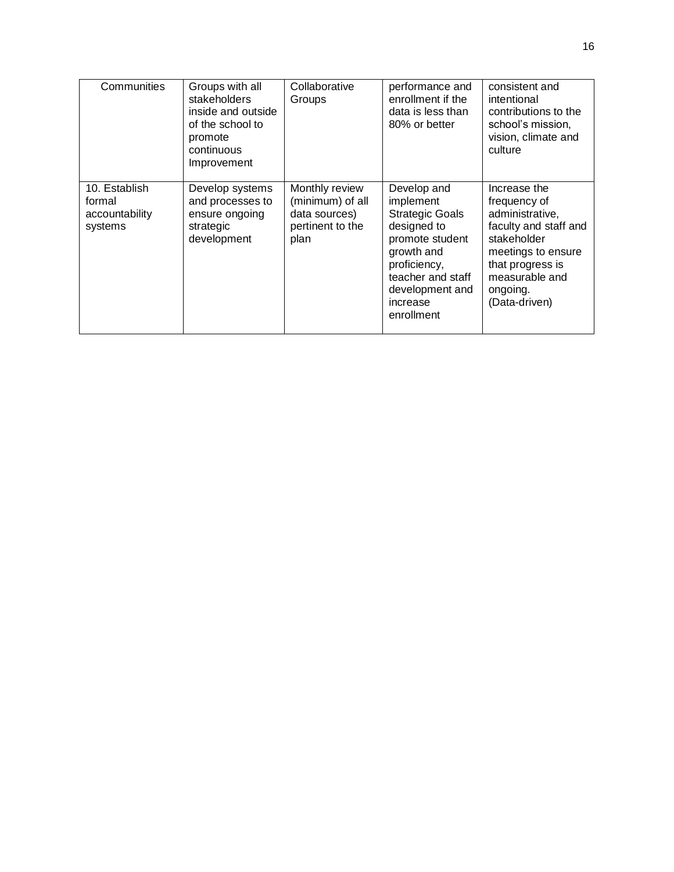| Communities                                          | Groups with all<br>stakeholders<br>inside and outside<br>of the school to<br>promote<br>continuous<br>Improvement | Collaborative<br>Groups                                                         | performance and<br>enrollment if the<br>data is less than<br>80% or better                                                                                                           | consistent and<br>intentional<br>contributions to the<br>school's mission.<br>vision, climate and<br>culture                                                                     |
|------------------------------------------------------|-------------------------------------------------------------------------------------------------------------------|---------------------------------------------------------------------------------|--------------------------------------------------------------------------------------------------------------------------------------------------------------------------------------|----------------------------------------------------------------------------------------------------------------------------------------------------------------------------------|
| 10. Establish<br>formal<br>accountability<br>systems | Develop systems<br>and processes to<br>ensure ongoing<br>strategic<br>development                                 | Monthly review<br>(minimum) of all<br>data sources)<br>pertinent to the<br>plan | Develop and<br>implement<br><b>Strategic Goals</b><br>designed to<br>promote student<br>growth and<br>proficiency,<br>teacher and staff<br>development and<br>increase<br>enrollment | Increase the<br>frequency of<br>administrative,<br>faculty and staff and<br>stakeholder<br>meetings to ensure<br>that progress is<br>measurable and<br>ongoing.<br>(Data-driven) |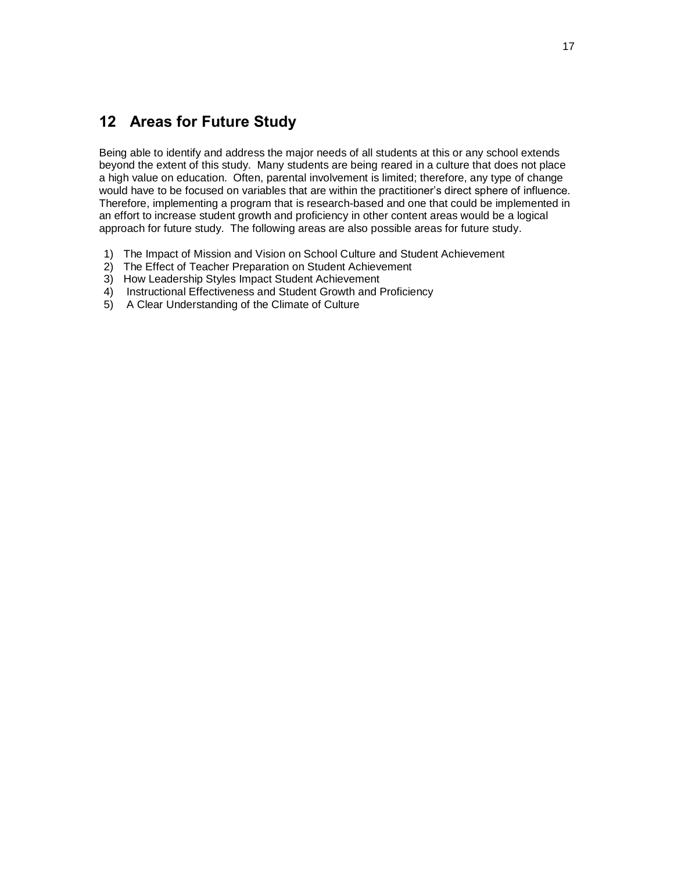## <span id="page-21-0"></span>**12 Areas for Future Study**

Being able to identify and address the major needs of all students at this or any school extends beyond the extent of this study. Many students are being reared in a culture that does not place a high value on education. Often, parental involvement is limited; therefore, any type of change would have to be focused on variables that are within the practitioner's direct sphere of influence. Therefore, implementing a program that is research-based and one that could be implemented in an effort to increase student growth and proficiency in other content areas would be a logical approach for future study. The following areas are also possible areas for future study.

- 1) The Impact of Mission and Vision on School Culture and Student Achievement
- 2) The Effect of Teacher Preparation on Student Achievement
- 3) How Leadership Styles Impact Student Achievement
- 4) Instructional Effectiveness and Student Growth and Proficiency
- 5) A Clear Understanding of the Climate of Culture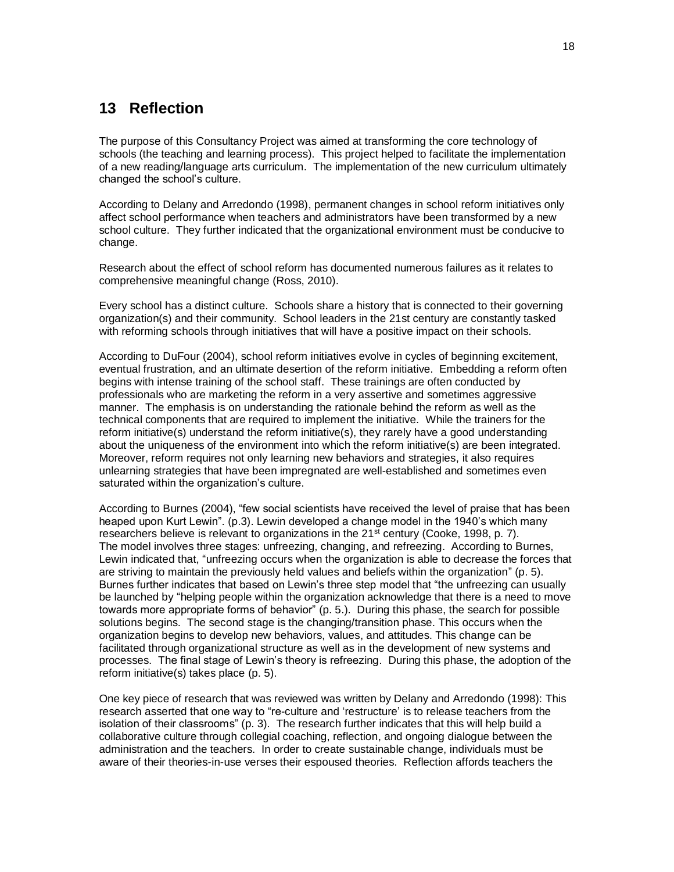### **13 Reflection**

The purpose of this Consultancy Project was aimed at transforming the core technology of schools (the teaching and learning process). This project helped to facilitate the implementation of a new reading/language arts curriculum. The implementation of the new curriculum ultimately changed the school's culture.

According to Delany and Arredondo (1998), permanent changes in school reform initiatives only affect school performance when teachers and administrators have been transformed by a new school culture. They further indicated that the organizational environment must be conducive to change.

Research about the effect of school reform has documented numerous failures as it relates to comprehensive meaningful change (Ross, 2010).

Every school has a distinct culture. Schools share a history that is connected to their governing organization(s) and their community. School leaders in the 21st century are constantly tasked with reforming schools through initiatives that will have a positive impact on their schools.

According to DuFour (2004), school reform initiatives evolve in cycles of beginning excitement, eventual frustration, and an ultimate desertion of the reform initiative. Embedding a reform often begins with intense training of the school staff. These trainings are often conducted by professionals who are marketing the reform in a very assertive and sometimes aggressive manner. The emphasis is on understanding the rationale behind the reform as well as the technical components that are required to implement the initiative. While the trainers for the reform initiative(s) understand the reform initiative(s), they rarely have a good understanding about the uniqueness of the environment into which the reform initiative(s) are been integrated. Moreover, reform requires not only learning new behaviors and strategies, it also requires unlearning strategies that have been impregnated are well-established and sometimes even saturated within the organization's culture.

According to Burnes (2004), "few social scientists have received the level of praise that has been heaped upon Kurt Lewin". (p.3). Lewin developed a change model in the 1940's which many researchers believe is relevant to organizations in the  $21<sup>st</sup>$  century (Cooke, 1998, p. 7). The model involves three stages: unfreezing, changing, and refreezing. According to Burnes, Lewin indicated that, "unfreezing occurs when the organization is able to decrease the forces that are striving to maintain the previously held values and beliefs within the organization" (p. 5). Burnes further indicates that based on Lewin's three step model that "the unfreezing can usually be launched by "helping people within the organization acknowledge that there is a need to move towards more appropriate forms of behavior" (p. 5.). During this phase, the search for possible solutions begins. The second stage is the changing/transition phase. This occurs when the organization begins to develop new behaviors, values, and attitudes. This change can be facilitated through organizational structure as well as in the development of new systems and processes. The final stage of Lewin's theory is refreezing. During this phase, the adoption of the reform initiative(s) takes place (p. 5).

One key piece of research that was reviewed was written by Delany and Arredondo (1998): This research asserted that one way to "re-culture and 'restructure' is to release teachers from the isolation of their classrooms" (p. 3). The research further indicates that this will help build a collaborative culture through collegial coaching, reflection, and ongoing dialogue between the administration and the teachers. In order to create sustainable change, individuals must be aware of their theories-in-use verses their espoused theories. Reflection affords teachers the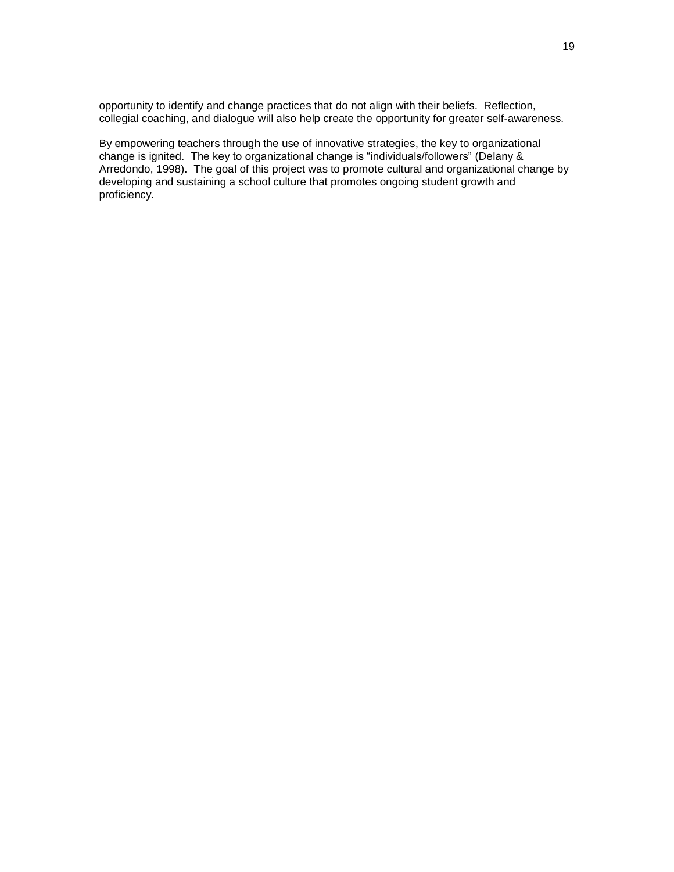opportunity to identify and change practices that do not align with their beliefs. Reflection, collegial coaching, and dialogue will also help create the opportunity for greater self-awareness.

By empowering teachers through the use of innovative strategies, the key to organizational change is ignited. The key to organizational change is "individuals/followers" (Delany & Arredondo, 1998). The goal of this project was to promote cultural and organizational change by developing and sustaining a school culture that promotes ongoing student growth and proficiency.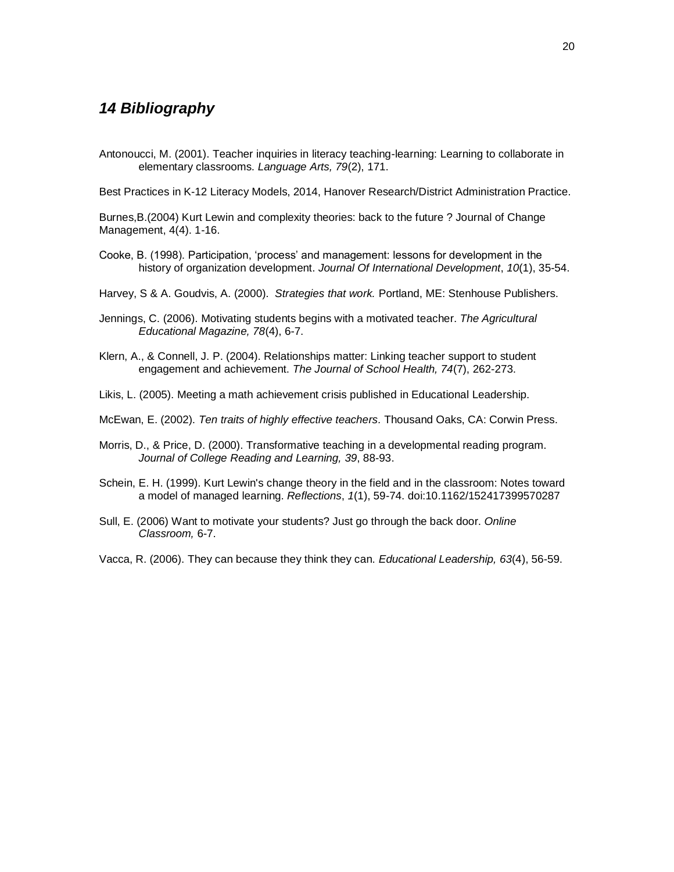### *14 Bibliography*

Antonoucci, M. (2001). Teacher inquiries in literacy teaching-learning: Learning to collaborate in elementary classrooms. *Language Arts, 79*(2), 171.

Best Practices in K-12 Literacy Models, 2014, Hanover Research/District Administration Practice.

Burnes,B.(2004) Kurt Lewin and complexity theories: back to the future ? Journal of Change Management, 4(4). 1-16.

Cooke, B. (1998). Participation, 'process' and management: lessons for development in the history of organization development. *Journal Of International Development*, *10*(1), 35-54.

Harvey, S & A. Goudvis, A. (2000). *Strategies that work.* Portland, ME: Stenhouse Publishers.

- Jennings, C. (2006). Motivating students begins with a motivated teacher. *The Agricultural Educational Magazine, 78*(4), 6-7.
- Klern, A., & Connell, J. P. (2004). Relationships matter: Linking teacher support to student engagement and achievement. *The Journal of School Health, 74*(7), 262-273.
- Likis, L. (2005). Meeting a math achievement crisis published in Educational Leadership.

McEwan, E. (2002). *Ten traits of highly effective teachers.* Thousand Oaks, CA: Corwin Press.

- Morris, D., & Price, D. (2000). Transformative teaching in a developmental reading program. *Journal of College Reading and Learning, 39*, 88-93.
- Schein, E. H. (1999). Kurt Lewin's change theory in the field and in the classroom: Notes toward a model of managed learning. *Reflections*, *1*(1), 59-74. doi:10.1162/152417399570287
- Sull, E. (2006) Want to motivate your students? Just go through the back door. *Online Classroom,* 6-7.

Vacca, R. (2006). They can because they think they can. *Educational Leadership, 63*(4), 56-59.